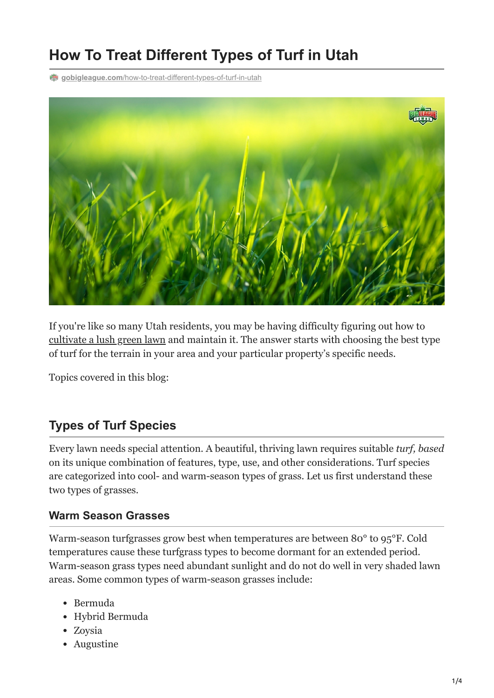# **How To Treat Different Types of Turf in Utah**

**gobigleague.com**[/how-to-treat-different-types-of-turf-in-utah](https://gobigleague.com/how-to-treat-different-types-of-turf-in-utah/)



If you're like so many Utah residents, you may be having difficulty figuring out how to [cultivate a lush green lawn](https://gobigleague.com/gallery/) and maintain it. The answer starts with choosing the best type of turf for the terrain in your area and your particular property's specific needs.

Topics covered in this blog:

#### **Types of Turf Species**

Every lawn needs special attention. A beautiful, thriving lawn requires suitable *turf, based* on its unique combination of features, type, use, and other considerations. Turf species are categorized into cool- and warm-season types of grass. Let us first understand these two types of grasses.

#### **Warm Season Grasses**

Warm-season turfgrasses grow best when temperatures are between 80° to 95°F. Cold temperatures cause these turfgrass types to become dormant for an extended period. Warm-season grass types need abundant sunlight and do not do well in very shaded lawn areas. Some common types of warm-season grasses include:

- Bermuda
- Hybrid Bermuda
- Zoysia
- Augustine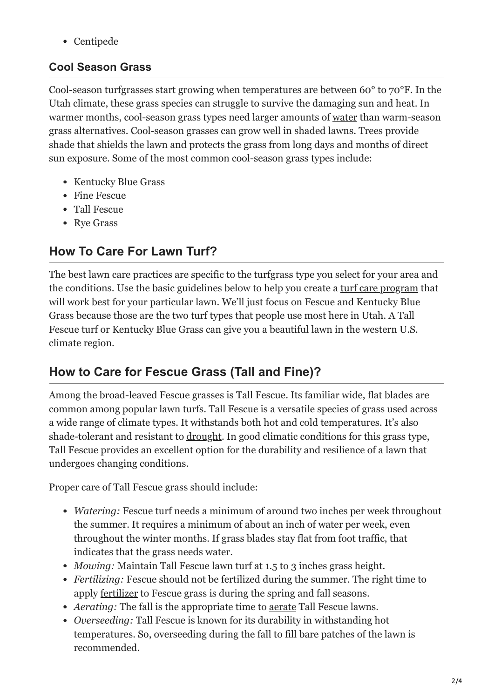Centipede

#### **Cool Season Grass**

Cool-season turfgrasses start growing when temperatures are between 60° to 70°F. In the Utah climate, these grass species can struggle to survive the damaging sun and heat. In warmer months, cool-season grass types need larger amounts of [water](https://gobigleague.com/lawn-watering-guide-utah/) than warm-season grass alternatives. Cool-season grasses can grow well in shaded lawns. Trees provide shade that shields the lawn and protects the grass from long days and months of direct sun exposure. Some of the most common cool-season grass types include:

- Kentucky Blue Grass
- Fine Fescue
- Tall Fescue
- Rye Grass

# **How To Care For Lawn Turf?**

The best lawn care practices are specific to the turfgrass type you select for your area and the conditions. Use the basic guidelines below to help you create a [turf care program](https://gobigleague.com/lawn-care-packages-in-utah/) that will work best for your particular lawn. We'll just focus on Fescue and Kentucky Blue Grass because those are the two turf types that people use most here in Utah. A Tall Fescue turf or Kentucky Blue Grass can give you a beautiful lawn in the western U.S. climate region.

# **How to Care for Fescue Grass (Tall and Fine)?**

Among the broad-leaved Fescue grasses is Tall Fescue. Its familiar wide, flat blades are common among popular lawn turfs. Tall Fescue is a versatile species of grass used across a wide range of climate types. It withstands both hot and cold temperatures. It's also shade-tolerant and resistant to [drought](https://gobigleague.com/drought-stress-lawns/). In good climatic conditions for this grass type, Tall Fescue provides an excellent option for the durability and resilience of a lawn that undergoes changing conditions.

Proper care of Tall Fescue grass should include:

- *Watering:* Fescue turf needs a minimum of around two inches per week throughout the summer. It requires a minimum of about an inch of water per week, even throughout the winter months. If grass blades stay flat from foot traffic, that indicates that the grass needs water.
- *Mowing:* Maintain Tall Fescue lawn turf at 1.5 to 3 inches grass height.
- *Fertilizing:* Fescue should not be fertilized during the summer. The right time to apply [fertilizer](https://gobigleague.com/lawn-fertilization-services-utah/) to Fescue grass is during the spring and fall seasons.
- *Aerating:* The fall is the appropriate time to [aerate](https://gobigleague.com/lawn-aerator-service-utah/) Tall Fescue lawns.
- *Overseeding:* Tall Fescue is known for its durability in withstanding hot temperatures. So, overseeding during the fall to fill bare patches of the lawn is recommended.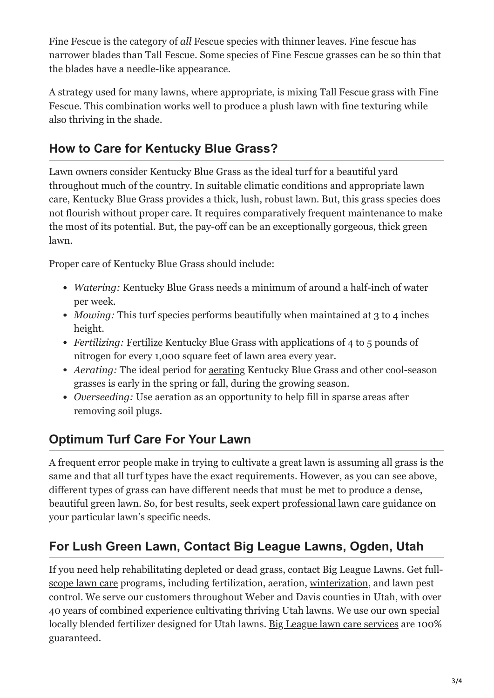Fine Fescue is the category of *all* Fescue species with thinner leaves. Fine fescue has narrower blades than Tall Fescue. Some species of Fine Fescue grasses can be so thin that the blades have a needle-like appearance.

A strategy used for many lawns, where appropriate, is mixing Tall Fescue grass with Fine Fescue. This combination works well to produce a plush lawn with fine texturing while also thriving in the shade.

### **How to Care for Kentucky Blue Grass?**

Lawn owners consider Kentucky Blue Grass as the ideal turf for a beautiful yard throughout much of the country. In suitable climatic conditions and appropriate lawn care, Kentucky Blue Grass provides a thick, lush, robust lawn. But, this grass species does not flourish without proper care. It requires comparatively frequent maintenance to make the most of its potential. But, the pay-off can be an exceptionally gorgeous, thick green lawn.

Proper care of Kentucky Blue Grass should include:

- *Watering:* Kentucky Blue Grass needs a minimum of around a half-inch of [water](https://gobigleague.com/lawn-watering-guide-utah/) per week.
- *Mowing:* This turf species performs beautifully when maintained at 3 to 4 inches height.
- *Fertilizing:* [Fertilize](https://gobigleague.com/lawn-fertilization-services-utah/) Kentucky Blue Grass with applications of 4 to 5 pounds of nitrogen for every 1,000 square feet of lawn area every year.
- *Aerating:* The ideal period for [aerating](https://gobigleague.com/lawn-aerator-service-utah/) Kentucky Blue Grass and other cool-season grasses is early in the spring or fall, during the growing season.
- *Overseeding:* Use aeration as an opportunity to help fill in sparse areas after removing soil plugs.

## **Optimum Turf Care For Your Lawn**

A frequent error people make in trying to cultivate a great lawn is assuming all grass is the same and that all turf types have the exact requirements. However, as you can see above, different types of grass can have different needs that must be met to produce a dense, beautiful green lawn. So, for best results, seek expert [professional lawn care](https://gobigleague.com/get-started-big-league-lawns-utah/) guidance on your particular lawn's specific needs.

### **For Lush Green Lawn, Contact Big League Lawns, Ogden, Utah**

[If you need help rehabilitating depleted or dead grass, contact Big League Lawns. Get full](https://gobigleague.com/big-league-lawn-care/)scope lawn care programs, including fertilization, aeration, [winterization,](https://gobigleague.com/lawn-winterization-utah/) and lawn pest control. We serve our customers throughout Weber and Davis counties in Utah, with over 40 years of combined experience cultivating thriving Utah lawns. We use our own special locally blended fertilizer designed for Utah lawns. [Big League lawn care services](https://gobigleague.com/why-choose-big-league-lawns/) are 100% guaranteed.